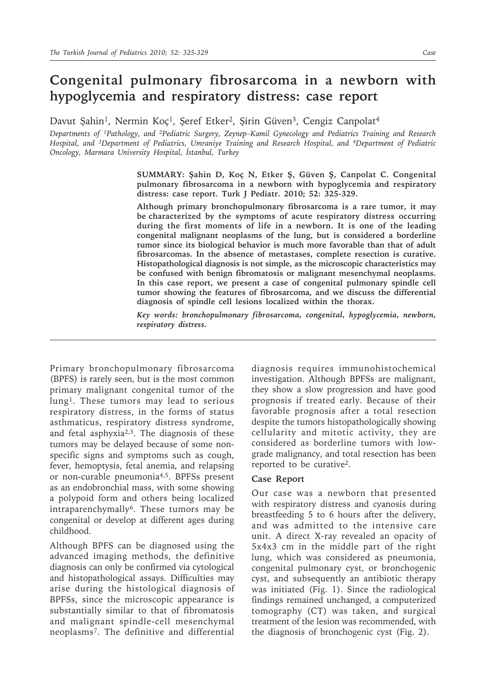## **Congenital pulmonary fibrosarcoma in a newborn with hypoglycemia and respiratory distress: case report**

Davut Şahin<sup>1</sup>, Nermin Koç<sup>1</sup>, Şeref Etker<sup>2</sup>, Şirin Güven<sup>3</sup>, Cengiz Canpolat<sup>4</sup>

*Departments of 1Pathology, and 2Pediatric Surgery, Zeynep–Kamil Gynecology and Pediatrics Training and Research Hospital, and 3Department of Pediatrics, Umraniye Training and Research Hospital, and 4Department of Pediatric Oncology, Marmara University Hospital, İstanbul, Turkey*

> **SUMMARY: Şahin D, Koç N, Etker Ş, Güven Ş, Canpolat C. Congenital pulmonary fibrosarcoma in a newborn with hypoglycemia and respiratory distress: case report. Turk J Pediatr. 2010; 52: 325-329.**

> **Although primary bronchopulmonary fibrosarcoma is a rare tumor, it may be characterized by the symptoms of acute respiratory distress occurring during the first moments of life in a newborn. It is one of the leading congenital malignant neoplasms of the lung, but is considered a borderline tumor since its biological behavior is much more favorable than that of adult fibrosarcomas. In the absence of metastases, complete resection is curative. Histopathological diagnosis is not simple, as the microscopic characteristics may be confused with benign fibromatosis or malignant mesenchymal neoplasms. In this case report, we present a case of congenital pulmonary spindle cell tumor showing the features of fibrosarcoma, and we discuss the differential diagnosis of spindle cell lesions localized within the thorax.**

> *Key words: bronchopulmonary fibrosarcoma, congenital, hypoglycemia, newborn, respiratory distress.*

Primary bronchopulmonary fibrosarcoma (BPFS) is rarely seen, but is the most common primary malignant congenital tumor of the lung<sup>1</sup>. These tumors may lead to serious respiratory distress, in the forms of status asthmaticus, respiratory distress syndrome, and fetal asphyxia2,3. The diagnosis of these tumors may be delayed because of some nonspecific signs and symptoms such as cough, fever, hemoptysis, fetal anemia, and relapsing or non-curable pneumonia4,5. BPFSs present as an endobronchial mass, with some showing a polypoid form and others being localized intraparenchymally<sup>6</sup>. These tumors may be congenital or develop at different ages during childhood.

Although BPFS can be diagnosed using the advanced imaging methods, the definitive diagnosis can only be confirmed via cytological and histopathological assays. Difficulties may arise during the histological diagnosis of BPFSs, since the microscopic appearance is substantially similar to that of fibromatosis and malignant spindle-cell mesenchymal neoplasms7. The definitive and differential

diagnosis requires immunohistochemical investigation. Although BPFSs are malignant, they show a slow progression and have good prognosis if treated early. Because of their favorable prognosis after a total resection despite the tumors histopathologically showing cellularity and mitotic activity, they are considered as borderline tumors with lowgrade malignancy, and total resection has been reported to be curative2.

## **Case Report**

Our case was a newborn that presented with respiratory distress and cyanosis during breastfeeding 5 to 6 hours after the delivery, and was admitted to the intensive care unit. A direct X-ray revealed an opacity of 5x4x3 cm in the middle part of the right lung, which was considered as pneumonia, congenital pulmonary cyst, or bronchogenic cyst, and subsequently an antibiotic therapy was initiated (Fig. 1). Since the radiological findings remained unchanged, a computerized tomography (CT) was taken, and surgical treatment of the lesion was recommended, with the diagnosis of bronchogenic cyst (Fig. 2).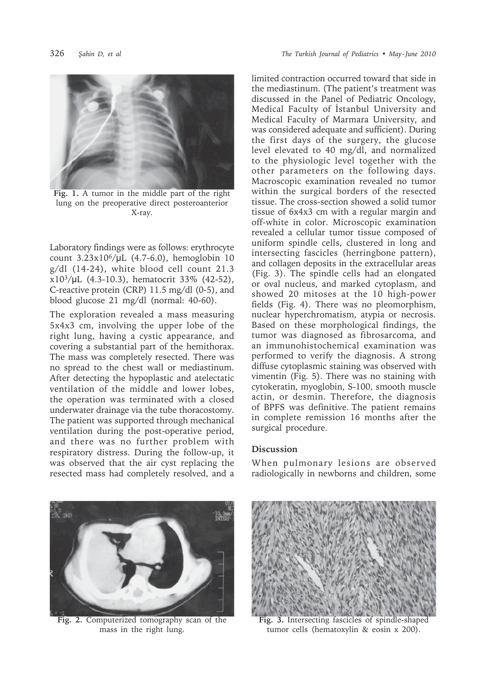



**Fig. 1.** A tumor in the middle part of the right lung on the preoperative direct posteroanterior X-ray.

Laboratory findings were as follows: erythrocyte count 3.23x106/μL (4.7-6.0), hemoglobin 10 g/dl (14-24), white blood cell count 21.3 x103/μL (4.3-10.3), hematocrit 33% (42-52), C-reactive protein (CRP) 11.5 mg/dl (0-5), and blood glucose 21 mg/dl (normal: 40-60).

The exploration revealed a mass measuring 5x4x3 cm, involving the upper lobe of the right lung, having a cystic appearance, and covering a substantial part of the hemithorax. The mass was completely resected. There was no spread to the chest wall or mediastinum. After detecting the hypoplastic and atelectatic ventilation of the middle and lower lobes, the operation was terminated with a closed underwater drainage via the tube thoracostomy. The patient was supported through mechanical ventilation during the post-operative period, and there was no further problem with respiratory distress. During the follow-up, it was observed that the air cyst replacing the resected mass had completely resolved, and a

limited contraction occurred toward that side in the mediastinum. (The patient's treatment was discussed in the Panel of Pediatric Oncology, Medical Faculty of İstanbul University and Medical Faculty of Marmara University, and was considered adequate and sufficient). During the first days of the surgery, the glucose level elevated to 40 mg/dl, and normalized to the physiologic level together with the other parameters on the following days. Macroscopic examination revealed no tumor within the surgical borders of the resected tissue. The cross-section showed a solid tumor tissue of 6x4x3 cm with a regular margin and off-white in color. Microscopic examination revealed a cellular tumor tissue composed of uniform spindle cells, clustered in long and intersecting fascicles (herringbone pattern), and collagen deposits in the extracellular areas (Fig. 3). The spindle cells had an elongated or oval nucleus, and marked cytoplasm, and showed 20 mitoses at the 10 high-power fields (Fig. 4). There was no pleomorphism, nuclear hyperchromatism, atypia or necrosis. Based on these morphological findings, the tumor was diagnosed as fibrosarcoma, and an immunohistochemical examination was performed to verify the diagnosis. A strong diffuse cytoplasmic staining was observed with vimentin (Fig. 5). There was no staining with cytokeratin, myoglobin, S-100, smooth muscle actin, or desmin. Therefore, the diagnosis of BPFS was definitive. The patient remains in complete remission 16 months after the surgical procedure.

## **Discussion**

When pulmonary lesions are observed radiologically in newborns and children, some



**Fig. 2.** Computerized tomography scan of the mass in the right lung.



**Fig. 3.** Intersecting fascicles of spindle-shaped tumor cells (hematoxylin & eosin x 200).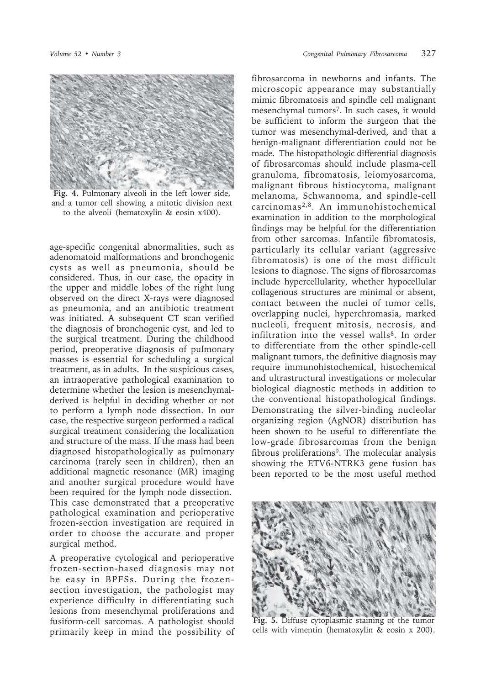

**Fig. 4.** Pulmonary alveoli in the left lower side, and a tumor cell showing a mitotic division next to the alveoli (hematoxylin & eosin x400).

age-specific congenital abnormalities, such as adenomatoid malformations and bronchogenic cysts as well as pneumonia, should be considered. Thus, in our case, the opacity in the upper and middle lobes of the right lung observed on the direct X-rays were diagnosed as pneumonia, and an antibiotic treatment was initiated. A subsequent CT scan verified the diagnosis of bronchogenic cyst, and led to the surgical treatment. During the childhood period, preoperative diagnosis of pulmonary masses is essential for scheduling a surgical treatment, as in adults. In the suspicious cases, an intraoperative pathological examination to determine whether the lesion is mesenchymalderived is helpful in deciding whether or not to perform a lymph node dissection. In our case, the respective surgeon performed a radical surgical treatment considering the localization and structure of the mass. If the mass had been diagnosed histopathologically as pulmonary carcinoma (rarely seen in children), then an additional magnetic resonance (MR) imaging and another surgical procedure would have been required for the lymph node dissection. This case demonstrated that a preoperative pathological examination and perioperative frozen-section investigation are required in order to choose the accurate and proper surgical method.

A preoperative cytological and perioperative frozen-section-based diagnosis may not be easy in BPFSs. During the frozensection investigation, the pathologist may experience difficulty in differentiating such lesions from mesenchymal proliferations and fusiform-cell sarcomas. A pathologist should primarily keep in mind the possibility of

fibrosarcoma in newborns and infants. The microscopic appearance may substantially mimic fibromatosis and spindle cell malignant mesenchymal tumors7. In such cases, it would be sufficient to inform the surgeon that the tumor was mesenchymal-derived, and that a benign-malignant differentiation could not be made. The histopathologic differential diagnosis of fibrosarcomas should include plasma-cell granuloma, fibromatosis, leiomyosarcoma, malignant fibrous histiocytoma, malignant melanoma, Schwannoma, and spindle-cell carcinomas2,8. An immunohistochemical examination in addition to the morphological findings may be helpful for the differentiation from other sarcomas. Infantile fibromatosis, particularly its cellular variant (aggressive fibromatosis) is one of the most difficult lesions to diagnose. The signs of fibrosarcomas include hypercellularity, whether hypocellular collagenous structures are minimal or absent, contact between the nuclei of tumor cells, overlapping nuclei, hyperchromasia, marked nucleoli, frequent mitosis, necrosis, and infiltration into the vessel walls<sup>8</sup>. In order to differentiate from the other spindle-cell malignant tumors, the definitive diagnosis may require immunohistochemical, histochemical and ultrastructural investigations or molecular biological diagnostic methods in addition to the conventional histopathological findings. Demonstrating the silver-binding nucleolar organizing region (AgNOR) distribution has been shown to be useful to differentiate the low-grade fibrosarcomas from the benign fibrous proliferations9. The molecular analysis showing the ETV6-NTRK3 gene fusion has been reported to be the most useful method



**Fig. 5.** Diffuse cytoplasmic staining of the tumor cells with vimentin (hematoxylin & eosin x 200).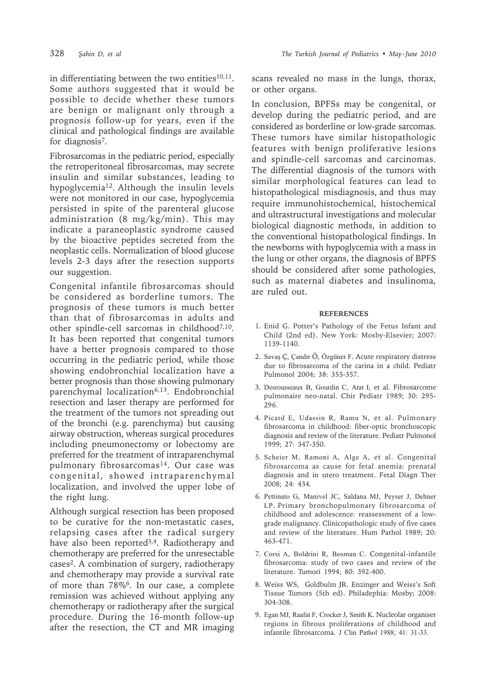in differentiating between the two entities $10,11$ . Some authors suggested that it would be possible to decide whether these tumors are benign or malignant only through a prognosis follow-up for years, even if the clinical and pathological findings are available for diagnosis<sup>7</sup>.

Fibrosarcomas in the pediatric period, especially the retroperitoneal fibrosarcomas, may secrete insulin and similar substances, leading to hypoglycemia<sup>12</sup>. Although the insulin levels were not monitored in our case, hypoglycemia persisted in spite of the parenteral glucose administration (8 mg/kg/min). This may indicate a paraneoplastic syndrome caused by the bioactive peptides secreted from the neoplastic cells. Normalization of blood glucose levels 2-3 days after the resection supports our suggestion.

Congenital infantile fibrosarcomas should be considered as borderline tumors. The prognosis of these tumors is much better than that of fibrosarcomas in adults and other spindle-cell sarcomas in childhood7,10*.*  It has been reported that congenital tumors have a better prognosis compared to those occurring in the pediatric period, while those showing endobronchial localization have a better prognosis than those showing pulmonary parenchymal localization<sup>6,13</sup>. Endobronchial resection and laser therapy are performed for the treatment of the tumors not spreading out of the bronchi (e.g. parenchyma) but causing airway obstruction, whereas surgical procedures including pneumonectomy or lobectomy are preferred for the treatment of intraparenchymal pulmonary fibrosarcomas<sup>14</sup>. Our case was congenital, showed intraparenchymal localization, and involved the upper lobe of the right lung.

Although surgical resection has been proposed to be curative for the non-metastatic cases, relapsing cases after the radical surgery have also been reported<sup>3,4</sup>. Radiotherapy and chemotherapy are preferred for the unresectable cases2. A combination of surgery, radiotherapy and chemotherapy may provide a survival rate of more than 78%6. In our case, a complete remission was achieved without applying any chemotherapy or radiotherapy after the surgical procedure. During the 16-month follow-up after the resection, the CT and MR imaging

scans revealed no mass in the lungs, thorax, or other organs.

In conclusion, BPFSs may be congenital, or develop during the pediatric period, and are considered as borderline or low-grade sarcomas. These tumors have similar histopathologic features with benign proliferative lesions and spindle-cell sarcomas and carcinomas. The differential diagnosis of the tumors with similar morphological features can lead to histopathological misdiagnosis, and thus may require immunohistochemical, histochemical and ultrastructural investigations and molecular biological diagnostic methods, in addition to the conventional histopathological findings. In the newborns with hypoglycemia with a mass in the lung or other organs, the diagnosis of BPFS should be considered after some pathologies, such as maternal diabetes and insulinoma, are ruled out.

## **REFERENCES**

- 1. Enid G. Potter's Pathology of the Fetus Infant and Child (2nd ed). New York: Mosby-Elsevier; 2007: 1139-1140.
- 2. Savaş Ç, Çandır Ö, Özgüner F. Acute respiratory distress due to fibrosarcoma of the carina in a child. Pediatr Pulmonol 2004; 38: 355-357.
- 3. Desrousseaux B, Gourdin C, Atat I, et al. Fibrosarcome pulmonaire neo-natal. Chir Pediatr 1989; 30: 295- 296.
- 4. Picard E, Udassin R, Ramu N, et al. Pulmonary fibrosarcoma in childhood: fiber-optic bronchoscopic diagnosis and review of the literature. Pediatr Pulmonol 1999; 27: 347-350.
- 5. Scheier M, Ramoni A, Alge A, et al. Congenital fibrosarcoma as cause for fetal anemia: prenatal diagnosis and in utero treatment. Fetal Diagn Ther 2008; 24: 434.
- 6. Pettinato G, Manivel JC, Saldana MJ, Peyser J, Dehner LP. Primary bronchopulmonary fibrosarcoma of childhood and adolescence: reassessment of a lowgrade malignancy. Clinicopathologic study of five cases and review of the literature. Hum Pathol 1989; 20: 463-471.
- 7. Corsi A, Boldrini R, Bosman C. Congenital-infantile fibrosarcoma: study of two cases and review of the literature. Tumori 1994; 80: 392-400.
- 8. Weiss WS, Goldbulm JR. Enzinger and Weiss's Soft Tissue Tumors (5th ed). Philadephia: Mosby; 2008: 304-308.
- 9. Egan MJ, Raafat F, Crocker J, Smith K. Nucleolar organiser regions in fibrous proliferations of childhood and infantile fibrosarcoma. J Clin Pathol 1988; 41: 31-33.